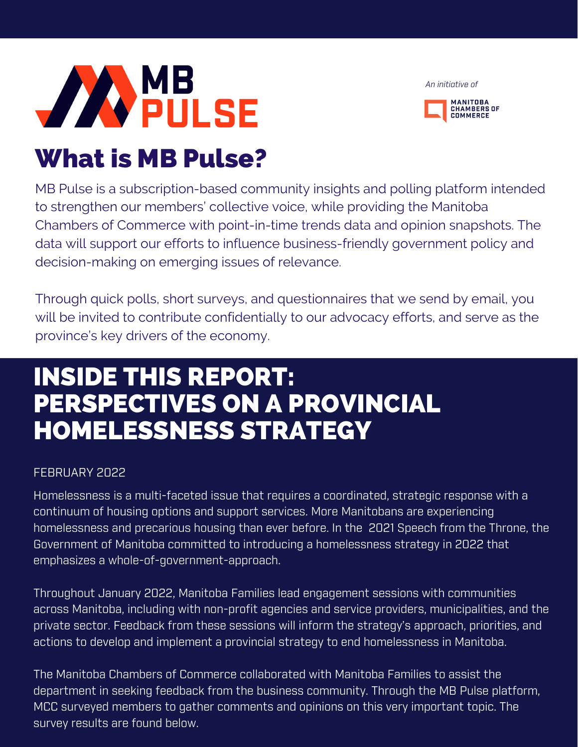

*An initiative of*



# What is MB Pulse?

MB Pulse is a subscription-based community insights and polling platform intended to strengthen our members' collective voice, while providing the Manitoba Chambers of Commerce with point-in-time trends data and opinion snapshots. The data will support our efforts to influence business-friendly government policy and decision-making on emerging issues of relevance.

Through quick polls, short surveys, and questionnaires that we send by email, you will be invited to contribute confidentially to our advocacy efforts, and serve as the province's key drivers of the economy.

## INSIDE THIS REPORT: PERSPECTIVES ON A PROVINCIAL HOMELESSNESS STRATEGY

## FEBRUARY 2022

Homelessness is a multi-faceted issue that requires a coordinated, strategic response with a continuum of housing options and support services. More Manitobans are experiencing homelessness and precarious housing than ever before. In the 2021 [Speech](https://www.gov.mb.ca/asset_library/en/thronespeech/throne_speech_nov_2021.pdf) from the Throne, the Government of Manitoba committed to introducing a homelessness strategy in 2022 that emphasizes a whole-of-government-approach.

Throughout January 2022, Manitoba Families lead engagement sessions with communities across Manitoba, including with non-profit agencies and service providers, municipalities, and the private sector. Feedback from these sessions will inform the strategy's approach, priorities, and actions to develop and implement a provincial strategy to end homelessness in Manitoba.

The Manitoba Chambers of Commerce collaborated with Manitoba Families to assist the department in seeking feedback from the business community. Through the MB Pulse platform, MCC surveyed members to gather comments and opinions on this very important topic. The survey results are found below.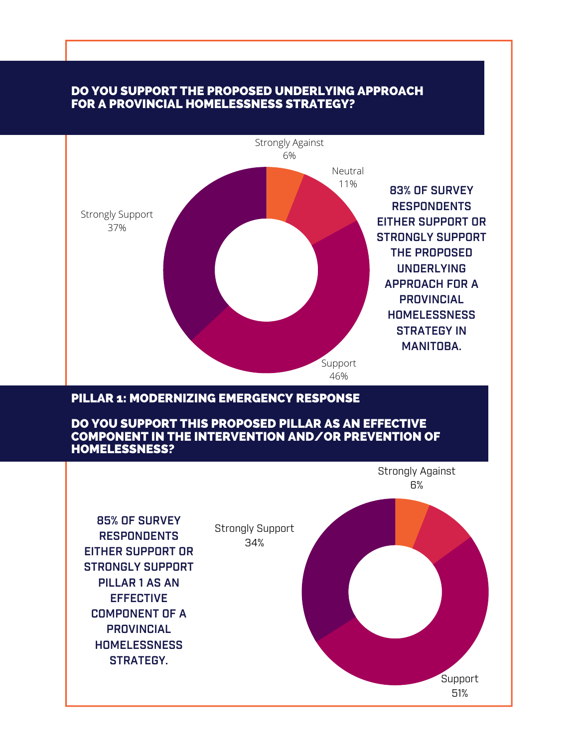#### DO YOU SUPPORT THE PROPOSED UNDERLYING APPROACH FOR A PROVINCIAL HOMELESSNESS STRATEGY?



#### PILLAR 1: MODERNIZING EMERGENCY RESPONSE

DO YOU SUPPORT THIS PROPOSED PILLAR AS AN EFFECTIVE COMPONENT IN THE INTERVENTION AND/OR PREVENTION OF HOMELESSNESS?

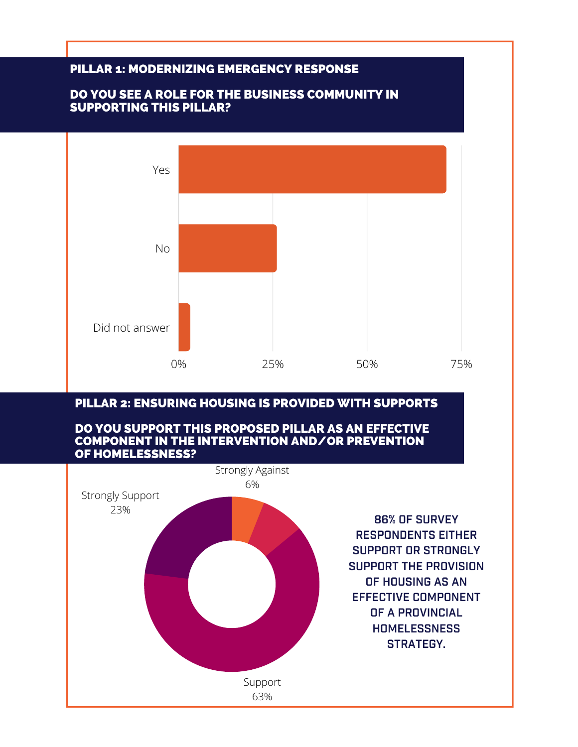

### PILLAR 2: ENSURING HOUSING IS PROVIDED WITH SUPPORTS

#### DO YOU SUPPORT THIS PROPOSED PILLAR AS AN EFFECTIVE COMPONENT IN THE INTERVENTION AND/OR PREVENTION OF HOMELESSNESS?

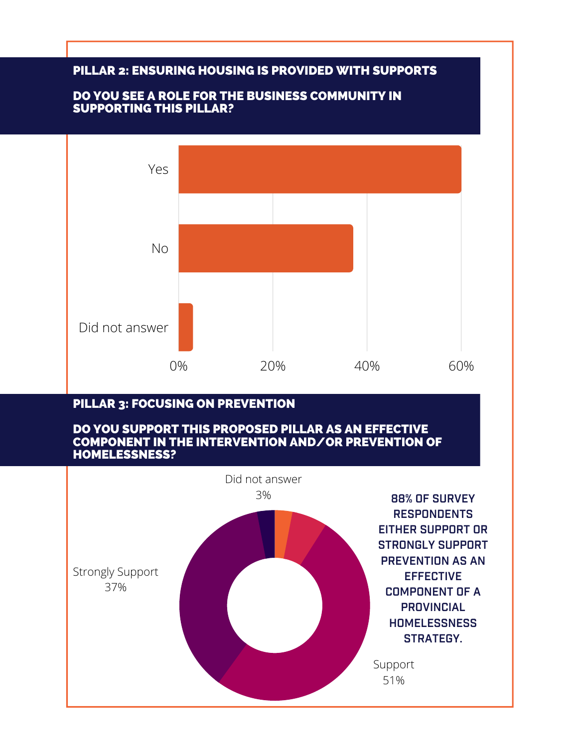### PILLAR 2: ENSURING HOUSING IS PROVIDED WITH SUPPORTS

#### DO YOU SEE A ROLE FOR THE BUSINESS COMMUNITY IN SUPPORTING THIS PILLAR?



## PILLAR 3: FOCUSING ON PREVENTION

#### DO YOU SUPPORT THIS PROPOSED PILLAR AS AN EFFECTIVE COMPONENT IN THE INTERVENTION AND/OR PREVENTION OF HOMELESSNESS?

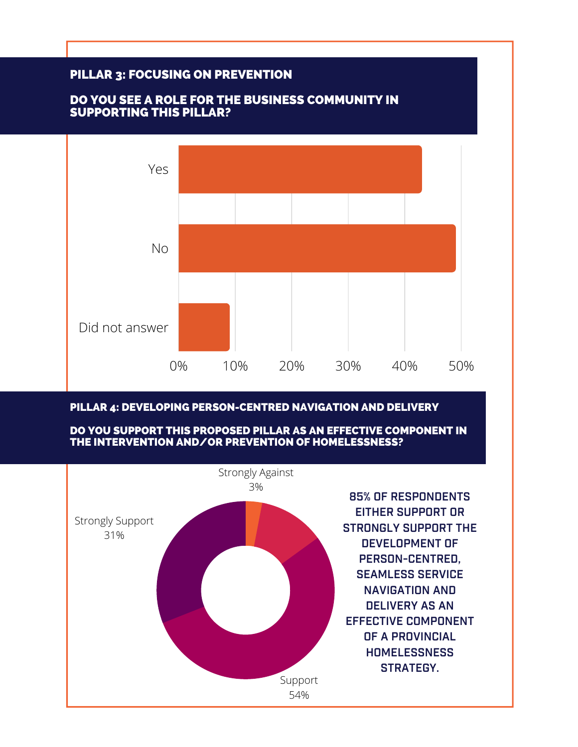

#### PILLAR 4: DEVELOPING PERSON-CENTRED NAVIGATION AND DELIVERY

DO YOU SUPPORT THIS PROPOSED PILLAR AS AN EFFECTIVE COMPONENT IN THE INTERVENTION AND/OR PREVENTION OF HOMELESSNESS?

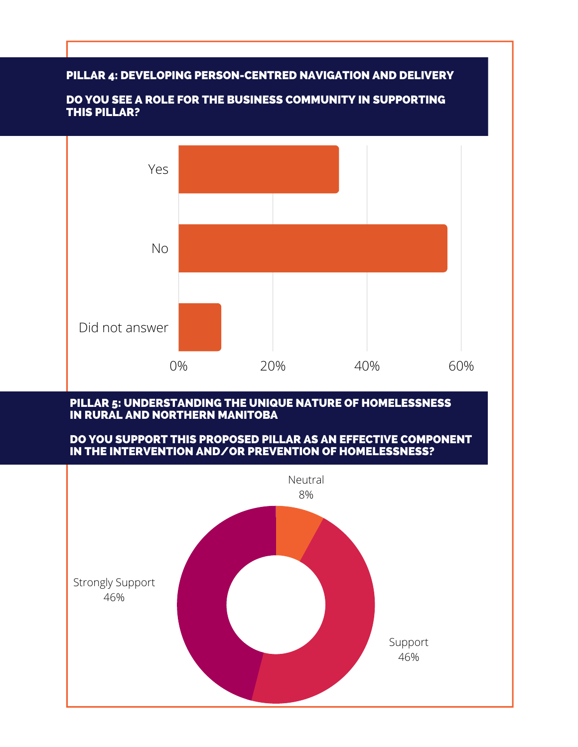#### PILLAR 4: DEVELOPING PERSON-CENTRED NAVIGATION AND DELIVERY



#### DO YOU SEE A ROLE FOR THE BUSINESS COMMUNITY IN SUPPORTING THIS PILLAR?

#### PILLAR 5: UNDERSTANDING THE UNIQUE NATURE OF HOMELESSNESS IN RURAL AND NORTHERN MANITOBA

#### DO YOU SUPPORT THIS PROPOSED PILLAR AS AN EFFECTIVE COMPONENT IN THE INTERVENTION AND/OR PREVENTION OF HOMELESSNESS?